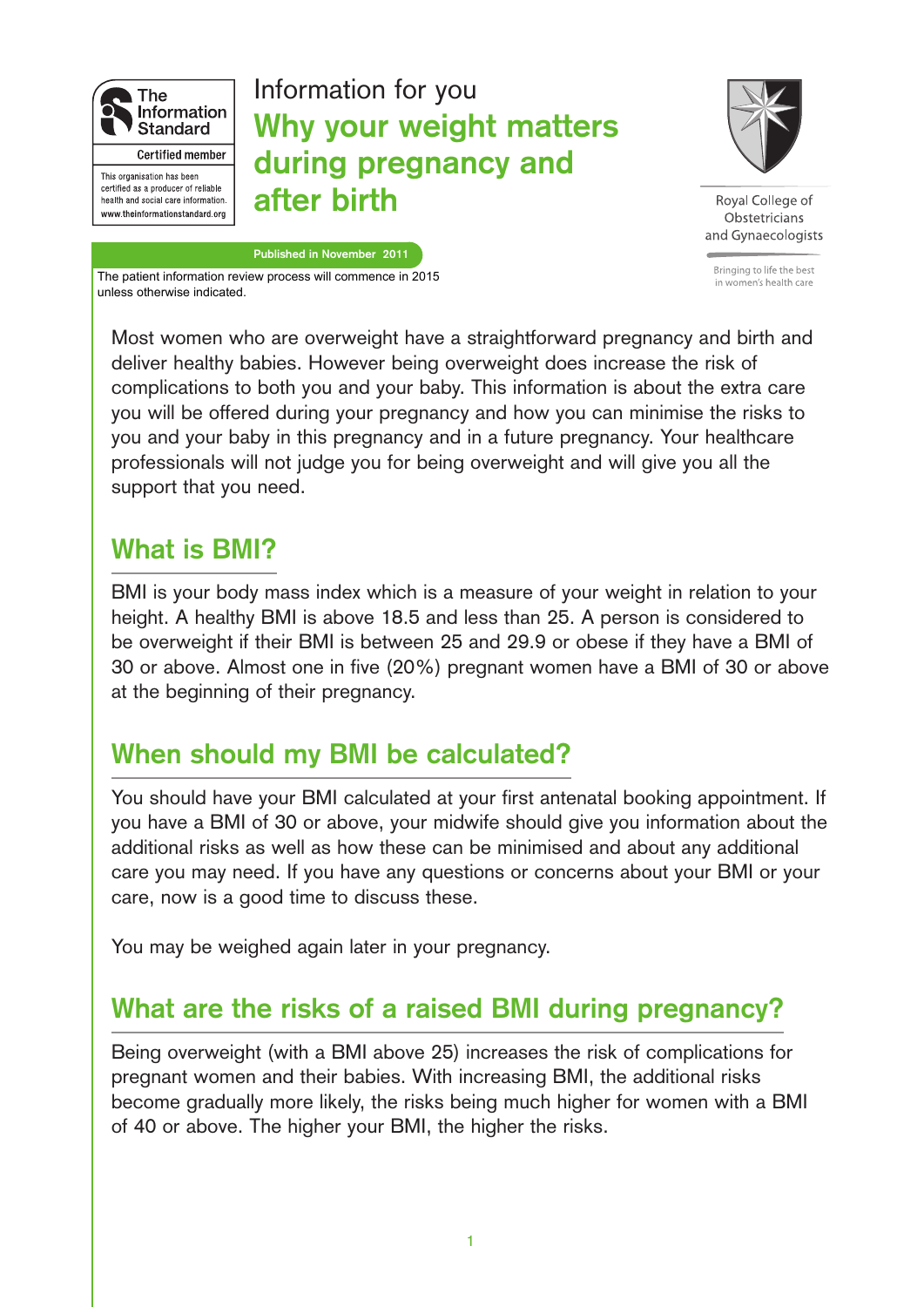

# **Why your weight matters during pregnancy and after birth** Information for you



Roval College of Obstetricians and Gynaecologists

Bringing to life the best in women's health care

**Published in November 2011** The patient information review process will commence in 2015 unless otherwise indicated.

Most women who are overweight have a straightforward pregnancy and birth and deliver healthy babies. However being overweight does increase the risk of complications to both you and your baby. This information is about the extra care you will be offered during your pregnancy and how you can minimise the risks to you and your baby in this pregnancy and in a future pregnancy. Your healthcare professionals will not judge you for being overweight and will give you all the support that you need.

# **What is BMI?**

BMI is your body mass index which is a measure of your weight in relation to your height. A healthy BMI is above 18.5 and less than 25. A person is considered to be overweight if their BMI is between 25 and 29.9 or obese if they have a BMI of 30 or above. Almost one in five (20%) pregnant women have a BMI of 30 or above at the beginning of their pregnancy.

# **When should my BMI be calculated?**

You should have your BMI calculated at your first antenatal booking appointment. If you have a BMI of 30 or above, your midwife should give you information about the additional risks as well as how these can be minimised and about any additional care you may need. If you have any questions or concerns about your BMI or your care, now is a good time to discuss these.

You may be weighed again later in your pregnancy.

# **What are the risks of a raised BMI during pregnancy?**

Being overweight (with a BMI above 25) increases the risk of complications for pregnant women and their babies. With increasing BMI, the additional risks become gradually more likely, the risks being much higher for women with a BMI of 40 or above. The higher your BMI, the higher the risks.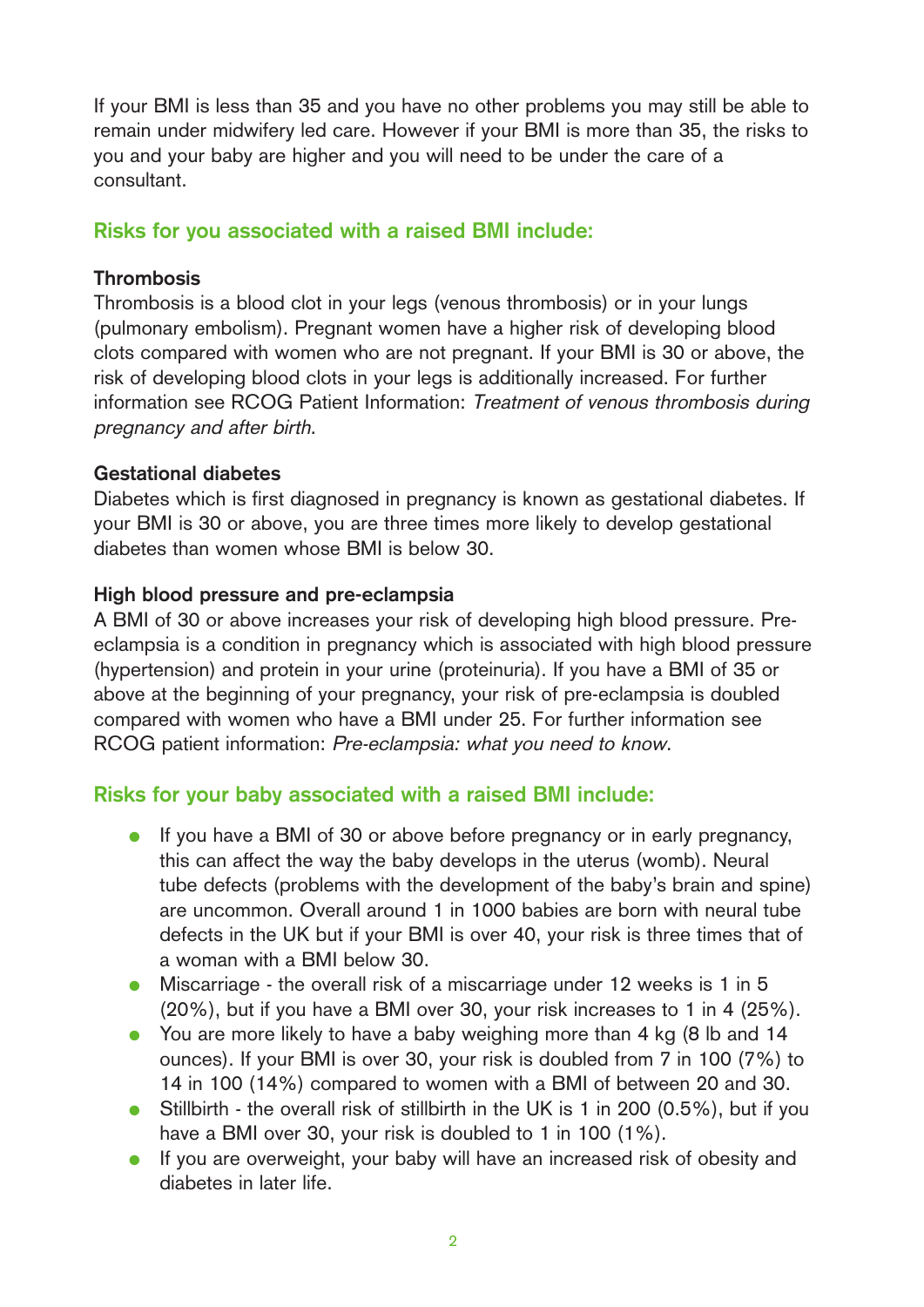If your BMI is less than 35 and you have no other problems you may still be able to remain under midwifery led care. However if your BMI is more than 35, the risks to you and your baby are higher and you will need to be under the care of a consultant.

# **Risks for you associated with a raised BMI include:**

# **Thrombosis**

Thrombosis is a blood clot in your legs (venous thrombosis) or in your lungs (pulmonary embolism). Pregnant women have a higher risk of developing blood clots compared with women who are not pregnant. If your BMI is 30 or above, the risk of developing blood clots in your legs is additionally increased. For further information see RCOG Patient Information: Treatment of venous thrombosis during pregnancy and after birth.

# **Gestational diabetes**

Diabetes which is first diagnosed in pregnancy is known as gestational diabetes. If your BMI is 30 or above, you are three times more likely to develop gestational diabetes than women whose BMI is below 30.

### **High blood pressure and pre-eclampsia**

A BMI of 30 or above increases your risk of developing high blood pressure. Preeclampsia is a condition in pregnancy which is associated with high blood pressure (hypertension) and protein in your urine (proteinuria). If you have a BMI of 35 or above at the beginning of your pregnancy, your risk of pre-eclampsia is doubled compared with women who have a BMI under 25. For further information see RCOG patient information: Pre-eclampsia: what you need to know.

# **Risks for your baby associated with a raised BMI include:**

- If you have a BMI of 30 or above before pregnancy or in early pregnancy, this can affect the way the baby develops in the uterus (womb). Neural tube defects (problems with the development of the baby's brain and spine) are uncommon. Overall around 1 in 1000 babies are born with neural tube defects in the UK but if your BMI is over 40, your risk is three times that of a woman with a BMI below 30.
- Miscarriage the overall risk of a miscarriage under 12 weeks is 1 in 5 (20%), but if you have a BMI over 30, your risk increases to 1 in 4 (25%).
- You are more likely to have a baby weighing more than 4 kg (8 lb and 14 ounces). If your BMI is over 30, your risk is doubled from 7 in 100 (7%) to 14 in 100 (14%) compared to women with a BMI of between 20 and 30.
- Stillbirth the overall risk of stillbirth in the UK is 1 in 200 (0.5%), but if you have a BMI over 30, your risk is doubled to 1 in 100 (1%).
- If you are overweight, your baby will have an increased risk of obesity and diabetes in later life.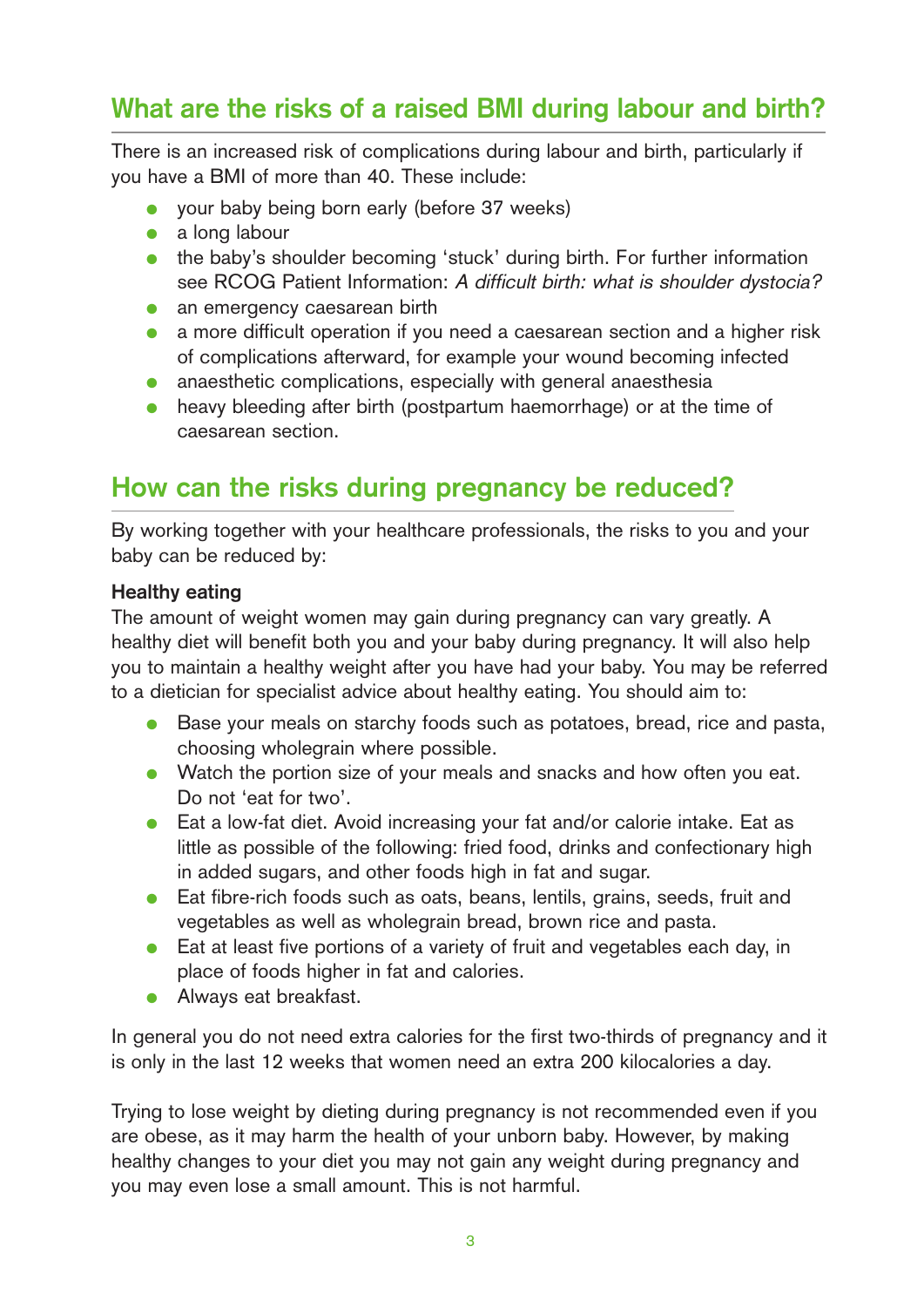# **What are the risks of a raised BMI during labour and birth?**

There is an increased risk of complications during labour and birth, particularly if you have a BMI of more than 40. These include:

- your baby being born early (before 37 weeks)
- $\bullet$  a long labour
- the baby's shoulder becoming 'stuck' during birth. For further information see RCOG Patient Information: A difficult birth: what is shoulder dystocia?
- an emergency caesarean birth
- a more difficult operation if you need a caesarean section and a higher risk of complications afterward, for example your wound becoming infected
- anaesthetic complications, especially with general anaesthesia
- heavy bleeding after birth (postpartum haemorrhage) or at the time of caesarean section.

# **How can the risks during pregnancy be reduced?**

By working together with your healthcare professionals, the risks to you and your baby can be reduced by:

### **Healthy eating**

The amount of weight women may gain during pregnancy can vary greatly. A healthy diet will benefit both you and your baby during pregnancy. It will also help you to maintain a healthy weight after you have had your baby. You may be referred to a dietician for specialist advice about healthy eating. You should aim to:

- Base your meals on starchy foods such as potatoes, bread, rice and pasta, choosing wholegrain where possible.
- Watch the portion size of your meals and snacks and how often you eat. Do not 'eat for two'.
- Eat a low-fat diet. Avoid increasing your fat and/or calorie intake. Eat as little as possible of the following: fried food, drinks and confectionary high in added sugars, and other foods high in fat and sugar.
- Eat fibre-rich foods such as oats, beans, lentils, grains, seeds, fruit and vegetables as well as wholegrain bread, brown rice and pasta.
- Eat at least five portions of a variety of fruit and vegetables each day, in place of foods higher in fat and calories.
- Always eat breakfast.

In general you do not need extra calories for the first two-thirds of pregnancy and it is only in the last 12 weeks that women need an extra 200 kilocalories a day.

Trying to lose weight by dieting during pregnancy is not recommended even if you are obese, as it may harm the health of your unborn baby. However, by making healthy changes to your diet you may not gain any weight during pregnancy and you may even lose a small amount. This is not harmful.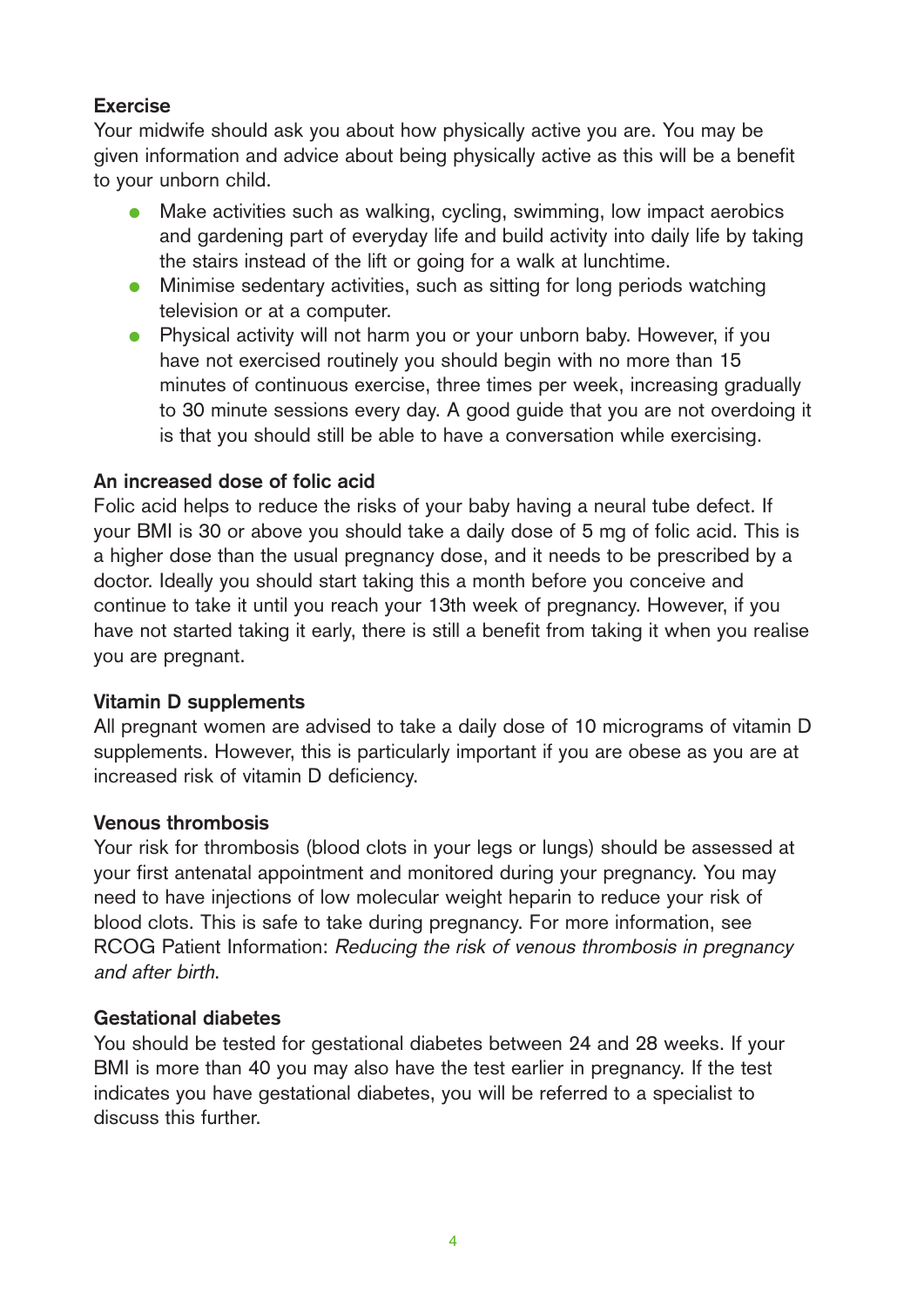# **Exercise**

Your midwife should ask you about how physically active you are. You may be given information and advice about being physically active as this will be a benefit to your unborn child.

- Make activities such as walking, cycling, swimming, low impact aerobics and gardening part of everyday life and build activity into daily life by taking the stairs instead of the lift or going for a walk at lunchtime.
- Minimise sedentary activities, such as sitting for long periods watching television or at a computer.
- Physical activity will not harm you or your unborn baby. However, if you have not exercised routinely you should begin with no more than 15 minutes of continuous exercise, three times per week, increasing gradually to 30 minute sessions every day. A good guide that you are not overdoing it is that you should still be able to have a conversation while exercising.

### **An increased dose of folic acid**

Folic acid helps to reduce the risks of your baby having a neural tube defect. If your BMI is 30 or above you should take a daily dose of 5 mg of folic acid. This is a higher dose than the usual pregnancy dose, and it needs to be prescribed by a doctor. Ideally you should start taking this a month before you conceive and continue to take it until you reach your 13th week of pregnancy. However, if you have not started taking it early, there is still a benefit from taking it when you realise you are pregnant.

# **Vitamin D supplements**

All pregnant women are advised to take a daily dose of 10 micrograms of vitamin D supplements. However, this is particularly important if you are obese as you are at increased risk of vitamin D deficiency.

### **Venous thrombosis**

Your risk for thrombosis (blood clots in your legs or lungs) should be assessed at your first antenatal appointment and monitored during your pregnancy. You may need to have injections of low molecular weight heparin to reduce your risk of blood clots. This is safe to take during pregnancy. For more information, see RCOG Patient Information: Reducing the risk of venous thrombosis in pregnancy and after birth.

### **Gestational diabetes**

You should be tested for gestational diabetes between 24 and 28 weeks. If your BMI is more than 40 you may also have the test earlier in pregnancy. If the test indicates you have gestational diabetes, you will be referred to a specialist to discuss this further.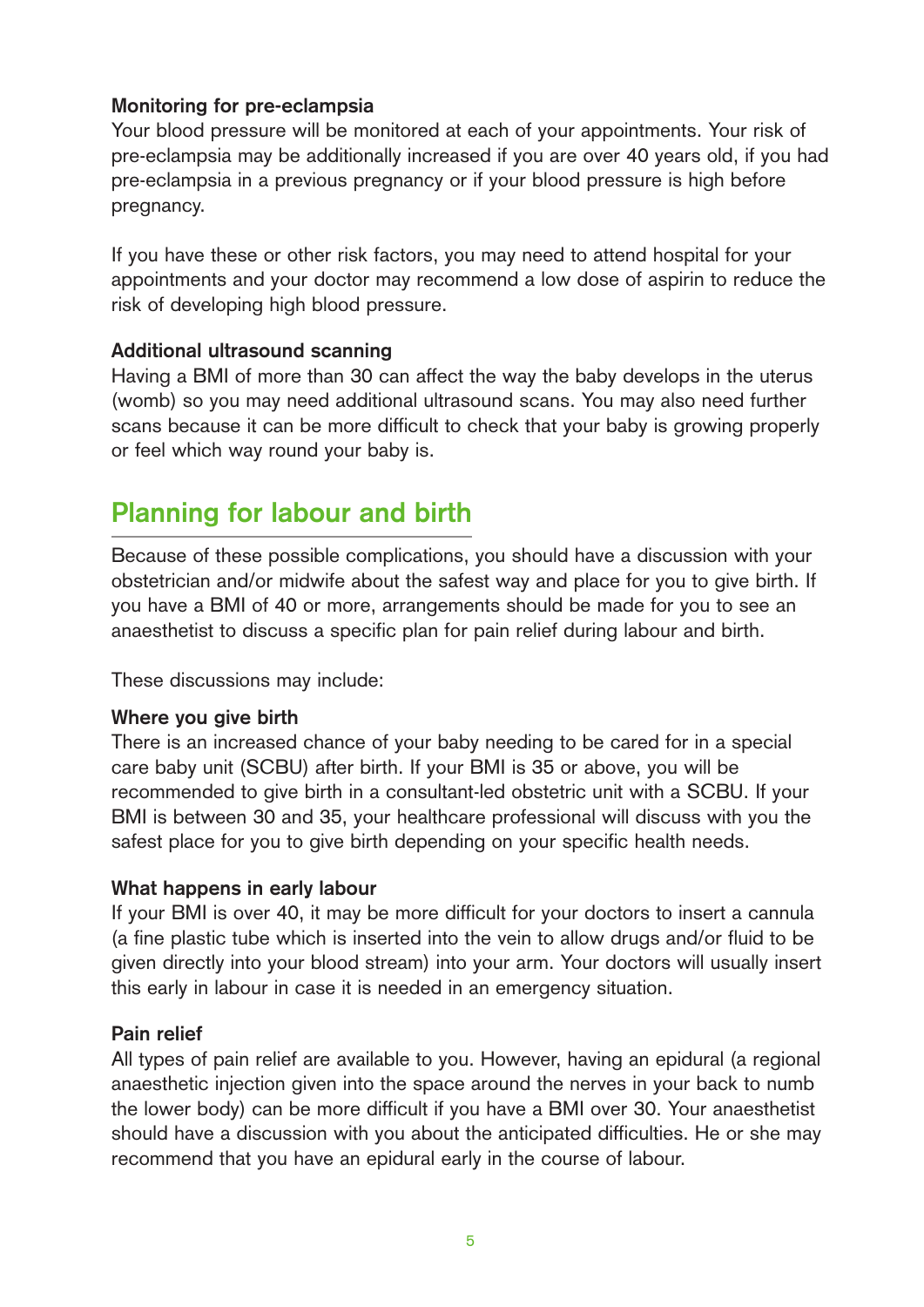# **Monitoring for pre-eclampsia**

Your blood pressure will be monitored at each of your appointments. Your risk of pre-eclampsia may be additionally increased if you are over 40 years old, if you had pre-eclampsia in a previous pregnancy or if your blood pressure is high before pregnancy.

If you have these or other risk factors, you may need to attend hospital for your appointments and your doctor may recommend a low dose of aspirin to reduce the risk of developing high blood pressure.

### **Additional ultrasound scanning**

Having a BMI of more than 30 can affect the way the baby develops in the uterus (womb) so you may need additional ultrasound scans. You may also need further scans because it can be more difficult to check that your baby is growing properly or feel which way round your baby is.

# **Planning for labour and birth**

Because of these possible complications, you should have a discussion with your obstetrician and/or midwife about the safest way and place for you to give birth. If you have a BMI of 40 or more, arrangements should be made for you to see an anaesthetist to discuss a specific plan for pain relief during labour and birth.

These discussions may include:

### **Where you give birth**

There is an increased chance of your baby needing to be cared for in a special care baby unit (SCBU) after birth. If your BMI is 35 or above, you will be recommended to give birth in a consultant-led obstetric unit with a SCBU. If your BMI is between 30 and 35, your healthcare professional will discuss with you the safest place for you to give birth depending on your specific health needs.

# **What happens in early labour**

If your BMI is over 40, it may be more difficult for your doctors to insert a cannula (a fine plastic tube which is inserted into the vein to allow drugs and/or fluid to be given directly into your blood stream) into your arm. Your doctors will usually insert this early in labour in case it is needed in an emergency situation.

# **Pain relief**

All types of pain relief are available to you. However, having an epidural (a regional anaesthetic injection given into the space around the nerves in your back to numb the lower body) can be more difficult if you have a BMI over 30. Your anaesthetist should have a discussion with you about the anticipated difficulties. He or she may recommend that you have an epidural early in the course of labour.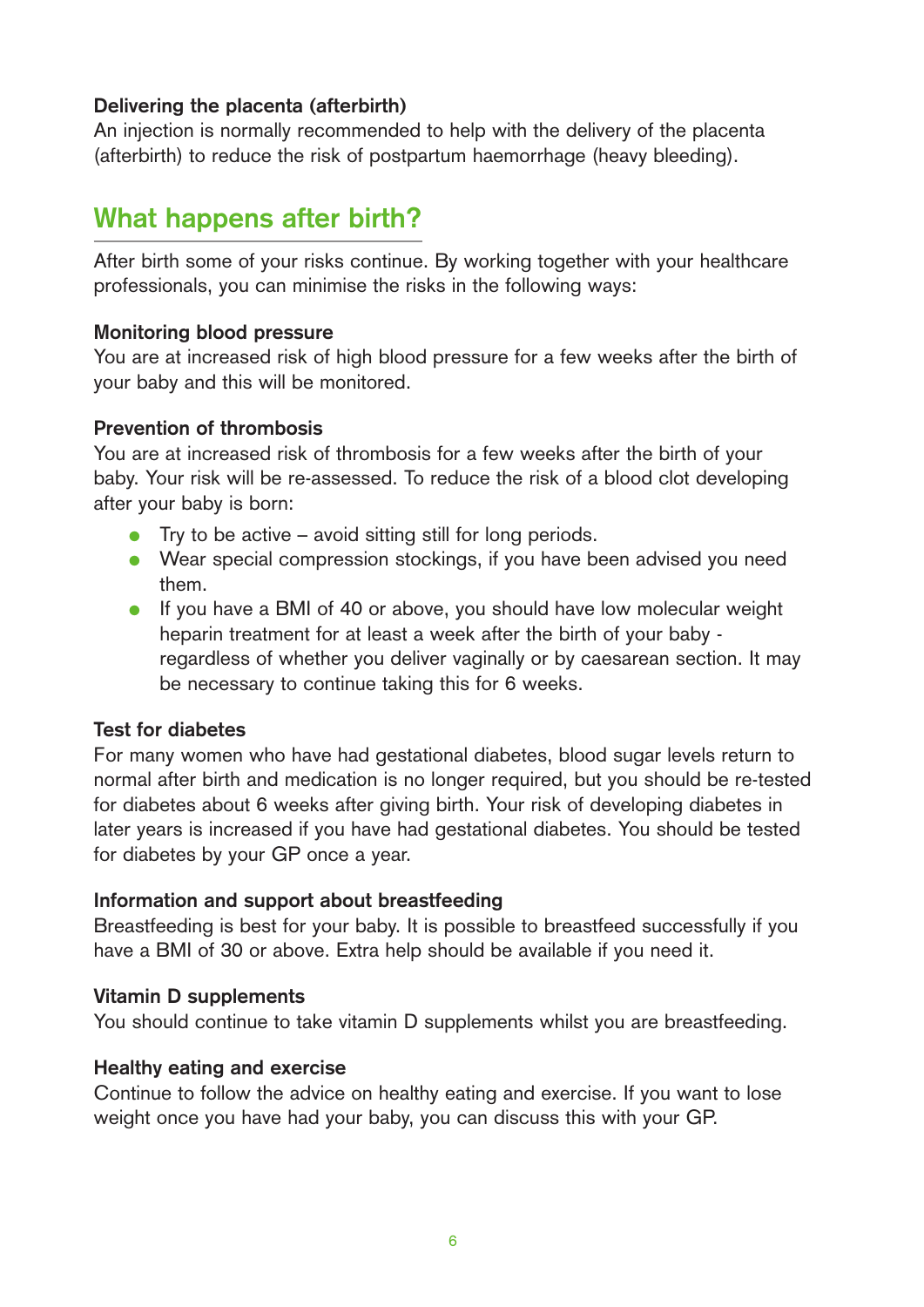### **Delivering the placenta (afterbirth)**

An injection is normally recommended to help with the delivery of the placenta (afterbirth) to reduce the risk of postpartum haemorrhage (heavy bleeding).

# **What happens after birth?**

After birth some of your risks continue. By working together with your healthcare professionals, you can minimise the risks in the following ways:

### **Monitoring blood pressure**

You are at increased risk of high blood pressure for a few weeks after the birth of your baby and this will be monitored.

### **Prevention of thrombosis**

You are at increased risk of thrombosis for a few weeks after the birth of your baby. Your risk will be re-assessed. To reduce the risk of a blood clot developing after your baby is born:

- $\bullet$  Try to be active avoid sitting still for long periods.
- Wear special compression stockings, if you have been advised you need them.
- If you have a BMI of 40 or above, you should have low molecular weight heparin treatment for at least a week after the birth of your baby regardless of whether you deliver vaginally or by caesarean section. It may be necessary to continue taking this for 6 weeks.

### **Test for diabetes**

For many women who have had gestational diabetes, blood sugar levels return to normal after birth and medication is no longer required, but you should be re-tested for diabetes about 6 weeks after giving birth. Your risk of developing diabetes in later years is increased if you have had gestational diabetes. You should be tested for diabetes by your GP once a year.

### **Information and support about breastfeeding**

Breastfeeding is best for your baby. It is possible to breastfeed successfully if you have a BMI of 30 or above. Extra help should be available if you need it.

# **Vitamin D supplements**

You should continue to take vitamin D supplements whilst you are breastfeeding.

### **Healthy eating and exercise**

Continue to follow the advice on healthy eating and exercise. If you want to lose weight once you have had your baby, you can discuss this with your GP.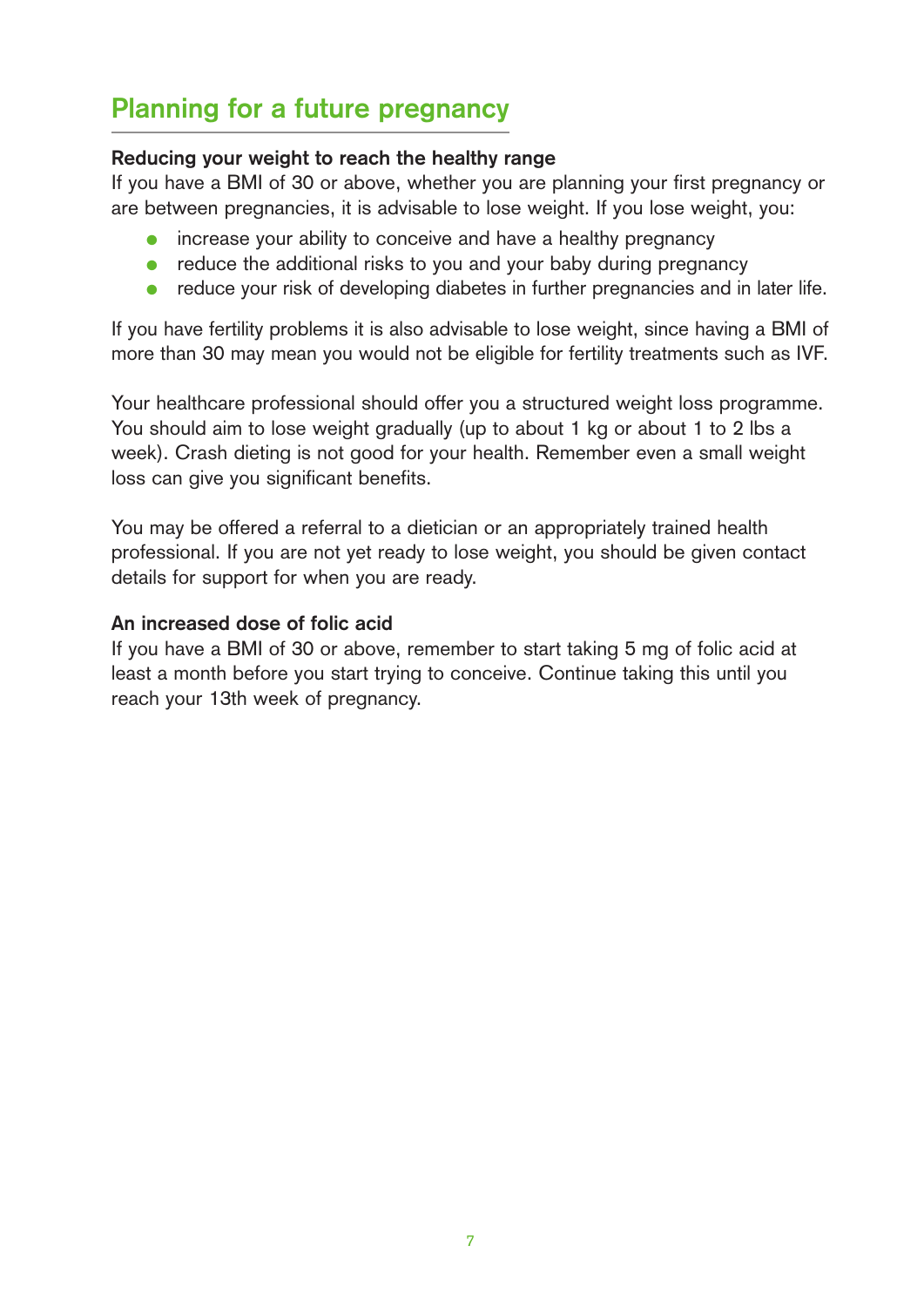# **Planning for a future pregnancy**

### **Reducing your weight to reach the healthy range**

If you have a BMI of 30 or above, whether you are planning your first pregnancy or are between pregnancies, it is advisable to lose weight. If you lose weight, you:

- increase your ability to conceive and have a healthy pregnancy
- reduce the additional risks to you and your baby during pregnancy
- reduce your risk of developing diabetes in further pregnancies and in later life.

If you have fertility problems it is also advisable to lose weight, since having a BMI of more than 30 may mean you would not be eligible for fertility treatments such as IVF.

Your healthcare professional should offer you a structured weight loss programme. You should aim to lose weight gradually (up to about 1 kg or about 1 to 2 lbs a week). Crash dieting is not good for your health. Remember even a small weight loss can give you significant benefits.

You may be offered a referral to a dietician or an appropriately trained health professional. If you are not yet ready to lose weight, you should be given contact details for support for when you are ready.

# **An increased dose of folic acid**

If you have a BMI of 30 or above, remember to start taking 5 mg of folic acid at least a month before you start trying to conceive. Continue taking this until you reach your 13th week of pregnancy.